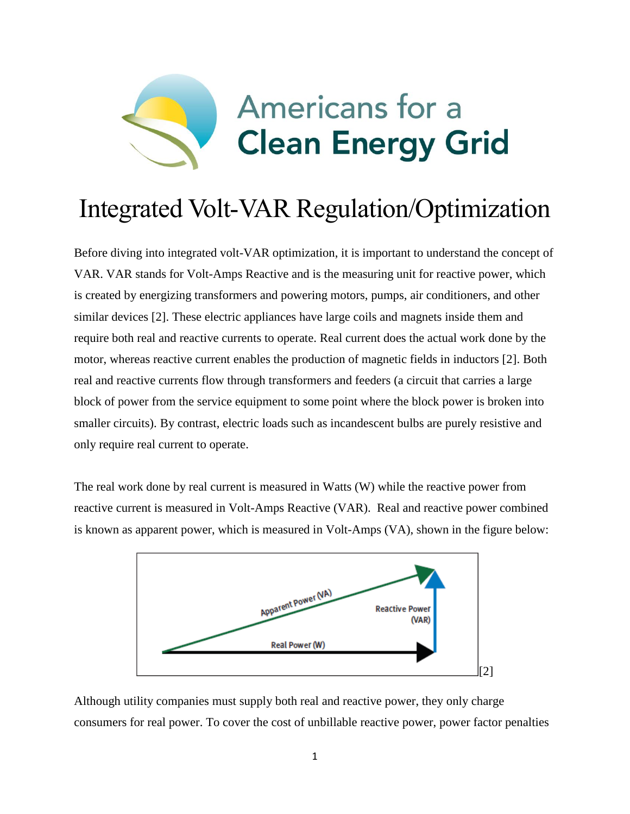

## Integrated Volt-VAR Regulation/Optimization

Before diving into integrated volt-VAR optimization, it is important to understand the concept of VAR. VAR stands for Volt-Amps Reactive and is the measuring unit for reactive power, which is created by energizing transformers and powering motors, pumps, air conditioners, and other similar devices [2]. These electric appliances have large coils and magnets inside them and require both real and reactive currents to operate. Real current does the actual work done by the motor, whereas reactive current enables the production of magnetic fields in inductors [2]. Both real and reactive currents flow through transformers and feeders (a circuit that carries a large block of power from the service equipment to some point where the block power is broken into smaller circuits). By contrast, electric loads such as incandescent bulbs are purely resistive and only require real current to operate.

The real work done by real current is measured in Watts (W) while the reactive power from reactive current is measured in Volt-Amps Reactive (VAR). Real and reactive power combined is known as apparent power, which is measured in Volt-Amps (VA), shown in the figure below:



Although utility companies must supply both real and reactive power, they only charge consumers for real power. To cover the cost of unbillable reactive power, power factor penalties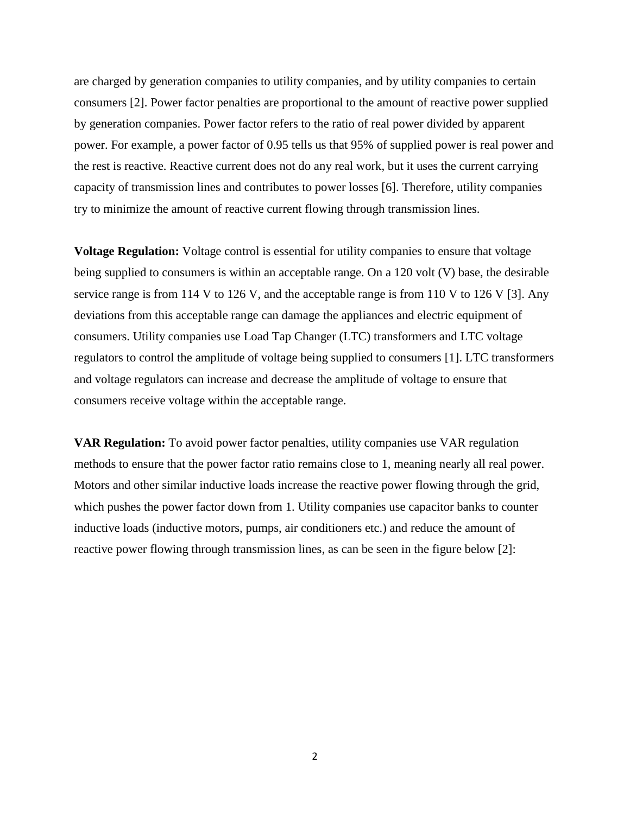are charged by generation companies to utility companies, and by utility companies to certain consumers [2]. Power factor penalties are proportional to the amount of reactive power supplied by generation companies. Power factor refers to the ratio of real power divided by apparent power. For example, a power factor of 0.95 tells us that 95% of supplied power is real power and the rest is reactive. Reactive current does not do any real work, but it uses the current carrying capacity of transmission lines and contributes to power losses [6]. Therefore, utility companies try to minimize the amount of reactive current flowing through transmission lines.

**Voltage Regulation:** Voltage control is essential for utility companies to ensure that voltage being supplied to consumers is within an acceptable range. On a 120 volt (V) base, the desirable service range is from 114 V to 126 V, and the acceptable range is from 110 V to 126 V [3]. Any deviations from this acceptable range can damage the appliances and electric equipment of consumers. Utility companies use Load Tap Changer (LTC) transformers and LTC voltage regulators to control the amplitude of voltage being supplied to consumers [1]. LTC transformers and voltage regulators can increase and decrease the amplitude of voltage to ensure that consumers receive voltage within the acceptable range.

**VAR Regulation:** To avoid power factor penalties, utility companies use VAR regulation methods to ensure that the power factor ratio remains close to 1, meaning nearly all real power. Motors and other similar inductive loads increase the reactive power flowing through the grid, which pushes the power factor down from 1. Utility companies use capacitor banks to counter inductive loads (inductive motors, pumps, air conditioners etc.) and reduce the amount of reactive power flowing through transmission lines, as can be seen in the figure below [2]:

2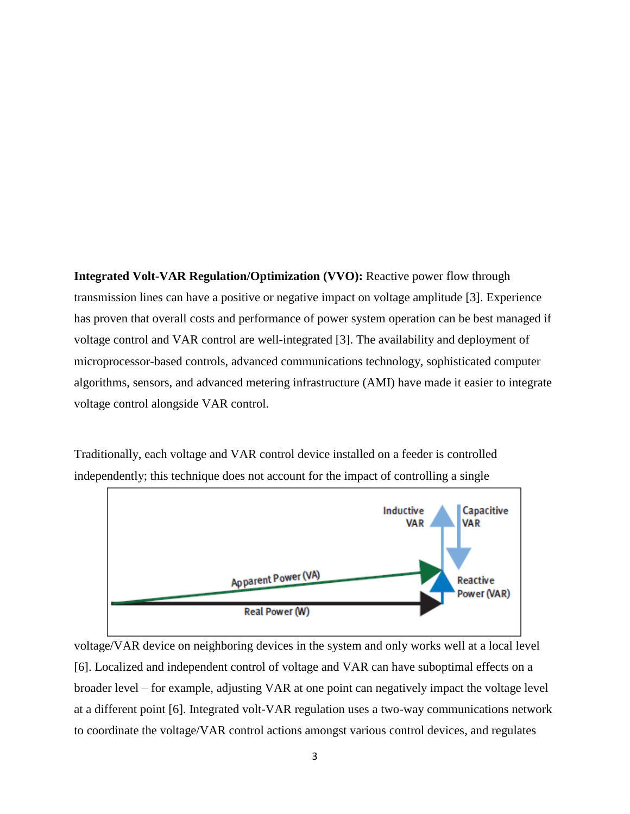**Integrated Volt-VAR Regulation/Optimization (VVO):** Reactive power flow through transmission lines can have a positive or negative impact on voltage amplitude [3]. Experience has proven that overall costs and performance of power system operation can be best managed if voltage control and VAR control are well-integrated [3]. The availability and deployment of microprocessor-based controls, advanced communications technology, sophisticated computer algorithms, sensors, and advanced metering infrastructure (AMI) have made it easier to integrate voltage control alongside VAR control.

Traditionally, each voltage and VAR control device installed on a feeder is controlled independently; this technique does not account for the impact of controlling a single



voltage/VAR device on neighboring devices in the system and only works well at a local level [6]. Localized and independent control of voltage and VAR can have suboptimal effects on a broader level – for example, adjusting VAR at one point can negatively impact the voltage level at a different point [6]. Integrated volt-VAR regulation uses a two-way communications network to coordinate the voltage/VAR control actions amongst various control devices, and regulates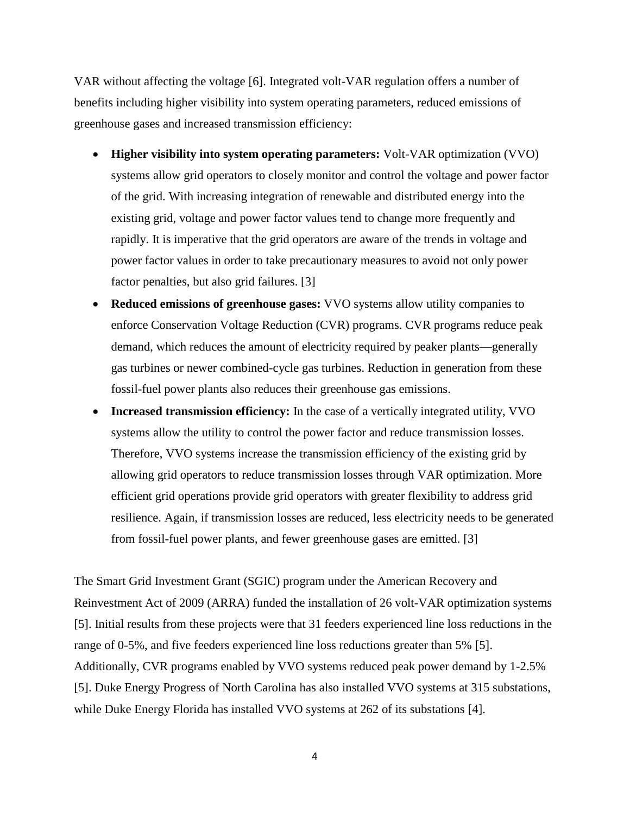VAR without affecting the voltage [6]. Integrated volt-VAR regulation offers a number of benefits including higher visibility into system operating parameters, reduced emissions of greenhouse gases and increased transmission efficiency:

- **Higher visibility into system operating parameters:** Volt-VAR optimization (VVO) systems allow grid operators to closely monitor and control the voltage and power factor of the grid. With increasing integration of renewable and distributed energy into the existing grid, voltage and power factor values tend to change more frequently and rapidly. It is imperative that the grid operators are aware of the trends in voltage and power factor values in order to take precautionary measures to avoid not only power factor penalties, but also grid failures. [3]
- **Reduced emissions of greenhouse gases:** VVO systems allow utility companies to enforce Conservation Voltage Reduction (CVR) programs. CVR programs reduce peak demand, which reduces the amount of electricity required by peaker plants—generally gas turbines or newer combined-cycle gas turbines. Reduction in generation from these fossil-fuel power plants also reduces their greenhouse gas emissions.
- **Increased transmission efficiency:** In the case of a vertically integrated utility, VVO systems allow the utility to control the power factor and reduce transmission losses. Therefore, VVO systems increase the transmission efficiency of the existing grid by allowing grid operators to reduce transmission losses through VAR optimization. More efficient grid operations provide grid operators with greater flexibility to address grid resilience. Again, if transmission losses are reduced, less electricity needs to be generated from fossil-fuel power plants, and fewer greenhouse gases are emitted. [3]

The Smart Grid Investment Grant (SGIC) program under the American Recovery and Reinvestment Act of 2009 (ARRA) funded the installation of 26 volt-VAR optimization systems [5]. Initial results from these projects were that 31 feeders experienced line loss reductions in the range of 0-5%, and five feeders experienced line loss reductions greater than 5% [5]. Additionally, CVR programs enabled by VVO systems reduced peak power demand by 1-2.5% [5]. Duke Energy Progress of North Carolina has also installed VVO systems at 315 substations, while Duke Energy Florida has installed VVO systems at 262 of its substations [4].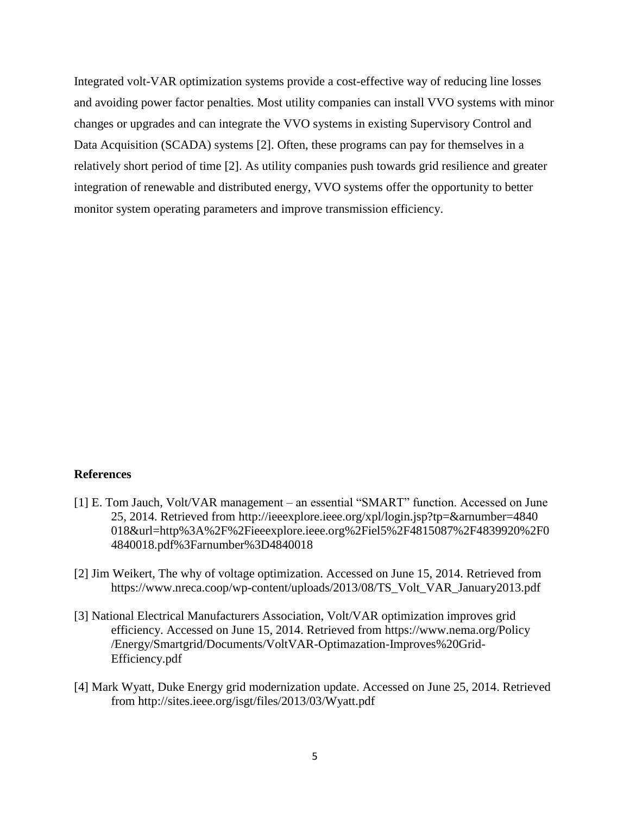Integrated volt-VAR optimization systems provide a cost-effective way of reducing line losses and avoiding power factor penalties. Most utility companies can install VVO systems with minor changes or upgrades and can integrate the VVO systems in existing Supervisory Control and Data Acquisition (SCADA) systems [2]. Often, these programs can pay for themselves in a relatively short period of time [2]. As utility companies push towards grid resilience and greater integration of renewable and distributed energy, VVO systems offer the opportunity to better monitor system operating parameters and improve transmission efficiency.

## **References**

- [1] E. Tom Jauch, Volt/VAR management an essential "SMART" function. Accessed on June 25, 2014. Retrieved from http://ieeexplore.ieee.org/xpl/login.jsp?tp=&arnumber=4840 018&url=http%3A%2F%2Fieeexplore.ieee.org%2Fiel5%2F4815087%2F4839920%2F0 4840018.pdf%3Farnumber%3D4840018
- [2] Jim Weikert, The why of voltage optimization. Accessed on June 15, 2014. Retrieved from https://www.nreca.coop/wp-content/uploads/2013/08/TS\_Volt\_VAR\_January2013.pdf
- [3] National Electrical Manufacturers Association, Volt/VAR optimization improves grid efficiency. Accessed on June 15, 2014. Retrieved from https://www.nema.org/Policy /Energy/Smartgrid/Documents/VoltVAR-Optimazation-Improves%20Grid-Efficiency.pdf
- [4] Mark Wyatt, Duke Energy grid modernization update. Accessed on June 25, 2014. Retrieved from http://sites.ieee.org/isgt/files/2013/03/Wyatt.pdf